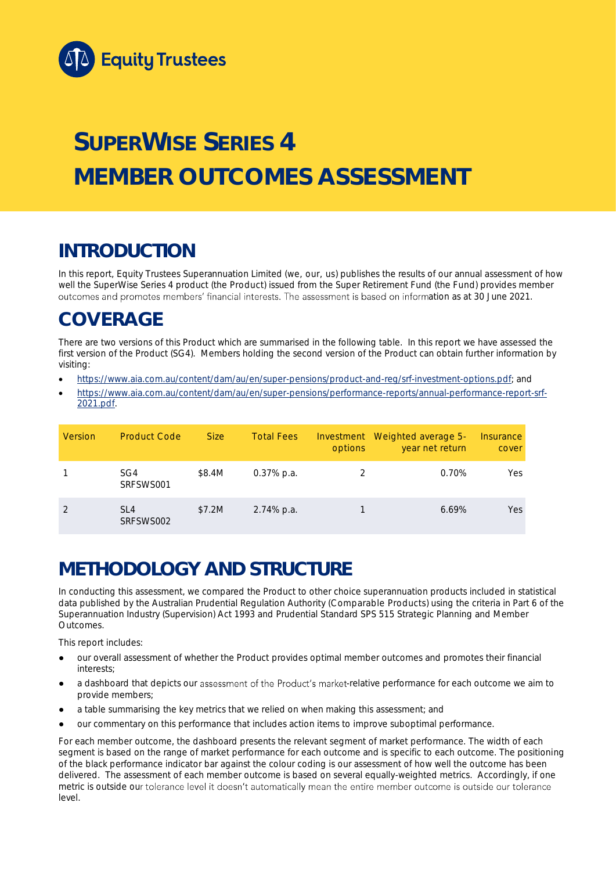

# **SUPERWISE SERIES 4 MEMBER OUTCOMES ASSESSMENT**

## **INTRODUCTION**

In this report, Equity Trustees Superannuation Limited (we, our, us) publishes the results of our annual assessment of how well the SuperWise Series 4 product (the Product) issued from the Super Retirement Fund (the Fund) provides member outcomes and promotes members' financial interests. The assessment is based on information as at 30 June 2021.

## **COVERAGE**

There are two versions of this Product which are summarised in the following table. In this report we have assessed the first version of the Product (SG4). Members holding the second version of the Product can obtain further information by visiting:

- [https://www.aia.com.au/content/dam/au/en/super-pensions/product-and-reg/srf-investment-options.pdf;](https://www.aia.com.au/content/dam/au/en/super-pensions/product-and-reg/srf-investment-options.pdf) and
- [https://www.aia.com.au/content/dam/au/en/super-pensions/performance-reports/annual-performance-report-srf-](https://www.aia.com.au/content/dam/au/en/super-pensions/performance-reports/annual-performance-report-srf-2021.pdf)[2021.pdf.](https://www.aia.com.au/content/dam/au/en/super-pensions/performance-reports/annual-performance-report-srf-2021.pdf)

| Version | <b>Product Code</b>          | Size:  | Total Fees    | options | Investment Weighted average 5-<br>year net return | Insurance<br>cover |
|---------|------------------------------|--------|---------------|---------|---------------------------------------------------|--------------------|
|         | SG4<br>SRFSWS001             | \$8.4M | $0.37\%$ p.a. |         | 0.70%                                             | Yes                |
|         | SI <sub>4</sub><br>SRFSWS002 | \$7.2M | 2.74% p.a.    |         | 6.69%                                             | <b>Yes</b>         |

## **METHODOLOGY AND STRUCTURE**

In conducting this assessment, we compared the Product to other choice superannuation products included in statistical data published by the Australian Prudential Regulation Authority (Comparable Products) using the criteria in Part 6 of the *Superannuation Industry (Supervision) Act 1993* and Prudential Standard SPS 515 *Strategic Planning and Member Outcomes*.

This report includes:

- our overall assessment of whether the Product provides optimal member outcomes and promotes their financial interests;
- a dashboard that depicts our assessment of the Product's market-relative performance for each outcome we aim to provide members;
- a table summarising the key metrics that we relied on when making this assessment; and
- our commentary on this performance that includes action items to improve suboptimal performance.

For each member outcome, the dashboard presents the relevant segment of market performance. The width of each segment is based on the range of market performance for each outcome and is specific to each outcome. The positioning of the black performance indicator bar against the colour coding is our assessment of how well the outcome has been delivered. The assessment of each member outcome is based on several equally-weighted metrics. Accordingly, if one metric is outside our tolerance level it doesn't automatically mean the entire member outcome is outside our tolerance level.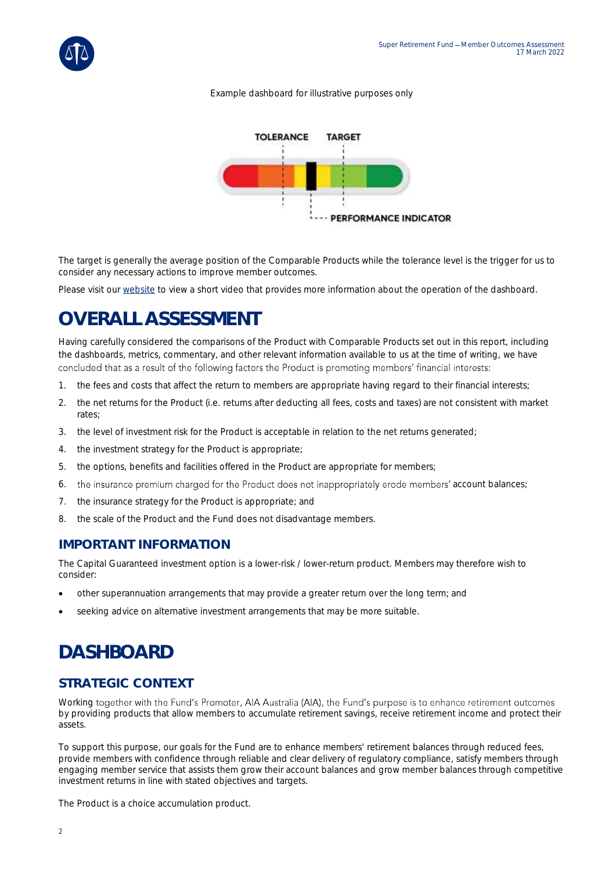

#### *Example dashboard for illustrative purposes only*



The target is generally the average position of the Comparable Products while the tolerance level is the trigger for us to consider any necessary actions to improve member outcomes.

Please visit our [website](https://www.eqt.com.au/superannuation) to view a short video that provides more information about the operation of the dashboard.

## **OVERALL ASSESSMENT**

Having carefully considered the comparisons of the Product with Comparable Products set out in this report, including the dashboards, metrics, commentary, and other relevant information available to us at the time of writing, we have concluded that as a result of the following factors the Product is promoting members' financial interests:

- 1. the fees and costs that affect the return to members are appropriate having regard to their financial interests;
- 2. the net returns for the Product (i.e. returns after deducting all fees, costs and taxes) are not consistent with market rates;
- 3. the level of investment risk for the Product is acceptable in relation to the net returns generated;
- 4. the investment strategy for the Product is appropriate;
- 5. the options, benefits and facilities offered in the Product are appropriate for members;
- 6. the insurance premium charged for the Product does not inappropriately erode members' account balances;
- 7. the insurance strategy for the Product is appropriate; and
- 8. the scale of the Product and the Fund does not disadvantage members.

#### **IMPORTANT INFORMATION**

The Capital Guaranteed investment option is a lower-risk / lower-return product. Members may therefore wish to consider:

- other superannuation arrangements that may provide a greater return over the long term; and
- seeking advice on alternative investment arrangements that may be more suitable.

## **DASHBOARD**

### **STRATEGIC CONTEXT**

Working together with the Fund's Promoter, AIA Australia (AIA), the Fund's purpose is to enhance retirement outcomes by providing products that allow members to accumulate retirement savings, receive retirement income and protect their assets.

To support this purpose, our goals for the Fund are to enhance members' retirement balances through reduced fees, provide members with confidence through reliable and clear delivery of regulatory compliance, satisfy members through engaging member service that assists them grow their account balances and grow member balances through competitive investment returns in line with stated objectives and targets.

The Product is a choice accumulation product.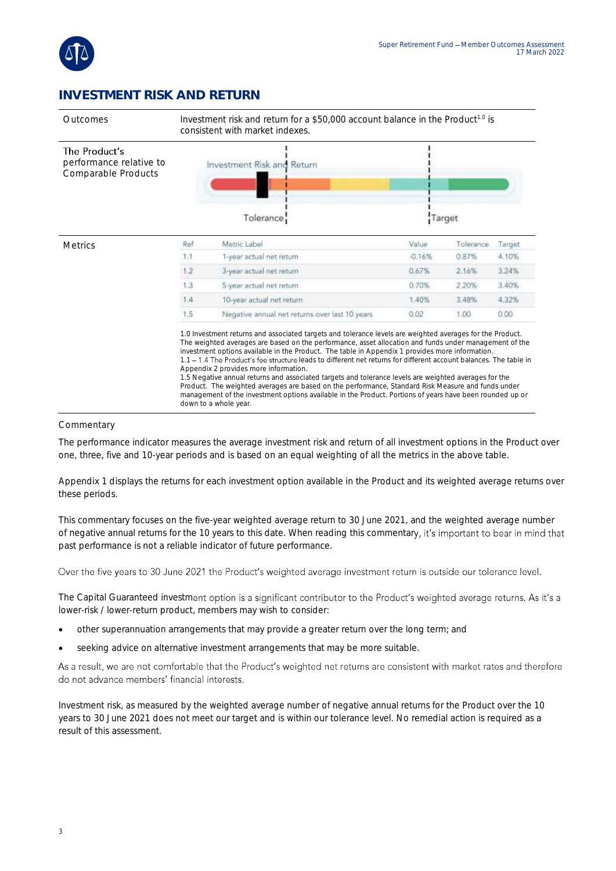

### **INVESTMENT RISK AND RETURN**



#### Commentary

The performance indicator measures the average investment risk and return of all investment options in the Product over one, three, five and 10-year periods and is based on an equal weighting of all the metrics in the above table.

Appendix 1 displays the returns for each investment option available in the Product and its weighted average returns over these periods.

This commentary focuses on the five-year weighted average return to 30 June 2021, and the weighted average number of negative annual returns for the 10 years to this date. When reading this commentary, it's important to bear in mind that past performance is not a reliable indicator of future performance.

Over the five years to 30 June 2021 the Product's weighted average investment return is outside our tolerance level.

The Capital Guaranteed investment option is a significant contributor to the Product's weighted average returns. As it's a lower-risk / lower-return product, members may wish to consider:

- other superannuation arrangements that may provide a greater return over the long term; and
- seeking advice on alternative investment arrangements that may be more suitable.

As a result, we are not comfortable that the Product's weighted net returns are consistent with market rates and therefore do not advance members' financial interests.

Investment risk, as measured by the weighted average number of negative annual returns for the Product over the 10 years to 30 June 2021 does not meet our target and is within our tolerance level. No remedial action is required as a result of this assessment.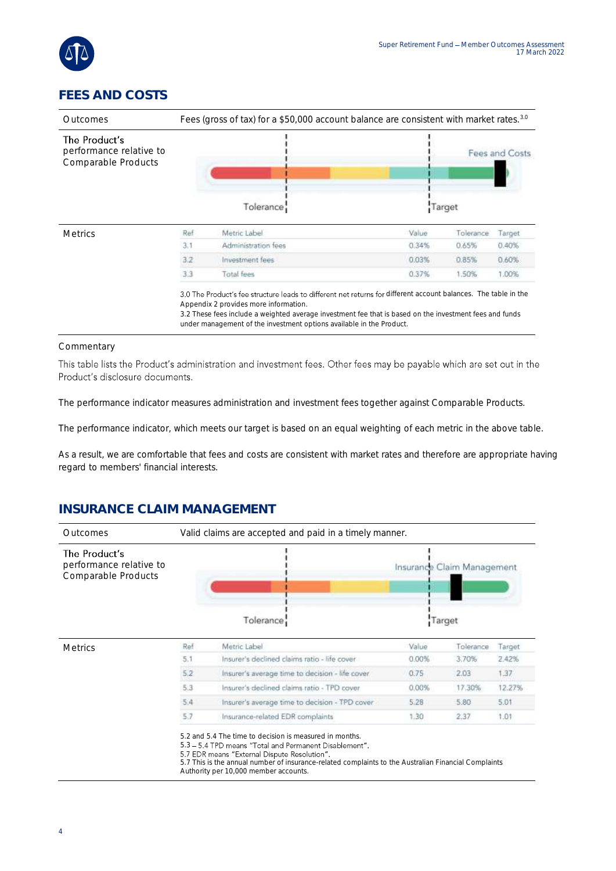

### **FEES AND COSTS**

| Outcomes                                                        | Fees (gross of tax) for a \$50,000 account balance are consistent with market rates. <sup>3.0</sup> |                     |        |           |                |  |
|-----------------------------------------------------------------|-----------------------------------------------------------------------------------------------------|---------------------|--------|-----------|----------------|--|
| The Product's<br>performance relative to<br>Comparable Products |                                                                                                     |                     |        |           | Fees and Costs |  |
|                                                                 |                                                                                                     | Tolerance:          | Target |           |                |  |
| <b>Metrics</b>                                                  | Ref                                                                                                 | Metric Label        | Value  | Tolerance | Target         |  |
|                                                                 | 3.1                                                                                                 | Administration fees | 0.34%  | 0.65%     | 0.40%          |  |
|                                                                 | 3.2                                                                                                 | Investment fees     | 0.03%  | 0.85%     | 0.60%          |  |
|                                                                 | 3.3                                                                                                 | Total fees          | 0.37%  | 1.50%     | 1.00%          |  |

es include a weighted average investment fee that is ba under management of the investment options available in the Product.

#### Commentary

This table lists the Product's administration and investment fees. Other fees may be payable which are set out in the Product's disclosure documents.

The performance indicator measures administration and investment fees together against Comparable Products.

The performance indicator, which meets our target is based on an equal weighting of each metric in the above table.

As a result, we are comfortable that fees and costs are consistent with market rates and therefore are appropriate having regard to members' financial interests.

### **INSURANCE CLAIM MANAGEMENT**

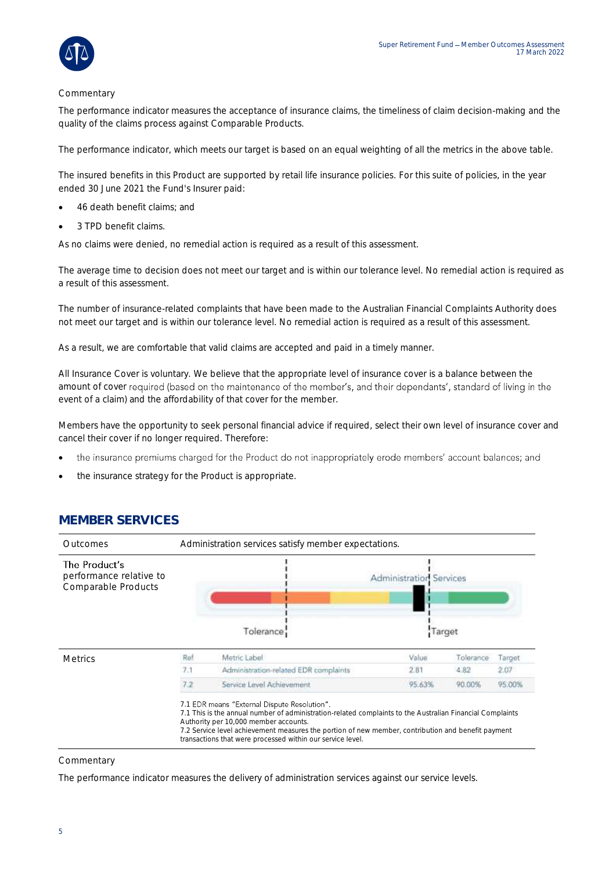

#### **Commentary**

The performance indicator measures the acceptance of insurance claims, the timeliness of claim decision-making and the quality of the claims process against Comparable Products.

The performance indicator, which meets our target is based on an equal weighting of all the metrics in the above table.

The insured benefits in this Product are supported by retail life insurance policies. For this suite of policies, in the year ended 30 June 2021 the Fund's Insurer paid:

- 46 death benefit claims; and
- 3 TPD benefit claims.

As no claims were denied, no remedial action is required as a result of this assessment.

The average time to decision does not meet our target and is within our tolerance level. No remedial action is required as a result of this assessment.

The number of insurance-related complaints that have been made to the Australian Financial Complaints Authority does not meet our target and is within our tolerance level. No remedial action is required as a result of this assessment.

As a result, we are comfortable that valid claims are accepted and paid in a timely manner.

All Insurance Cover is voluntary. We believe that the appropriate level of insurance cover is a balance between the amount of cover required (based on the maintenance of the member's, and their dependants', standard of living in the event of a claim) and the affordability of that cover for the member.

Members have the opportunity to seek personal financial advice if required, select their own level of insurance cover and cancel their cover if no longer required. Therefore:

- the insurance premiums charged for the Product do not inappropriately erode members' account balances; and •
- the insurance strategy for the Product is appropriate.



#### **MEMBER SERVICES**

#### **Commentary**

The performance indicator measures the delivery of administration services against our service levels.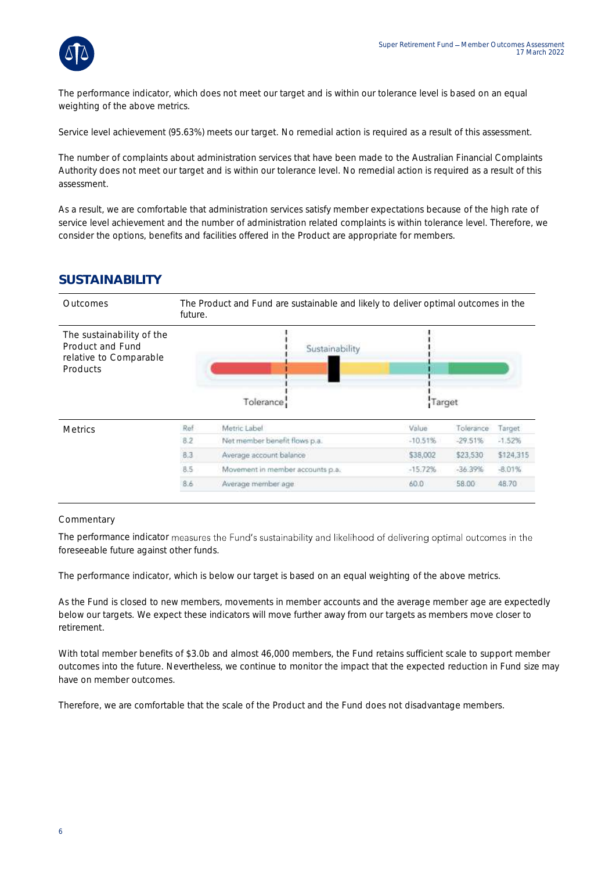

The performance indicator, which does not meet our target and is within our tolerance level is based on an equal weighting of the above metrics.

Service level achievement (95.63%) meets our target. No remedial action is required as a result of this assessment.

The number of complaints about administration services that have been made to the Australian Financial Complaints Authority does not meet our target and is within our tolerance level. No remedial action is required as a result of this assessment.

As a result, we are comfortable that administration services satisfy member expectations because of the high rate of service level achievement and the number of administration related complaints is within tolerance level. Therefore, we consider the options, benefits and facilities offered in the Product are appropriate for members.

#### **SUSTAINABILITY**



#### **Commentary**

The performance indicator measures the Fund's sustainability and likelihood of delivering optimal outcomes in the foreseeable future against other funds.

The performance indicator, which is below our target is based on an equal weighting of the above metrics.

As the Fund is closed to new members, movements in member accounts and the average member age are expectedly below our targets. We expect these indicators will move further away from our targets as members move closer to retirement.

With total member benefits of \$3.0b and almost 46,000 members, the Fund retains sufficient scale to support member outcomes into the future. Nevertheless, we continue to monitor the impact that the expected reduction in Fund size may have on member outcomes.

Therefore, we are comfortable that the scale of the Product and the Fund does not disadvantage members.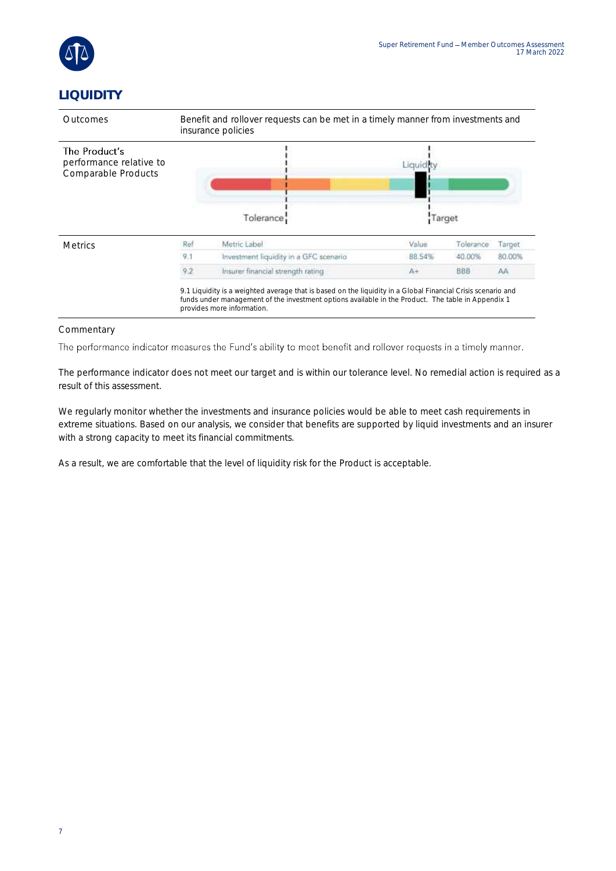

### **LIQUIDITY**



#### **Commentary**

The performance indicator measures the Fund's ability to meet benefit and rollover requests in a timely manner.

The performance indicator does not meet our target and is within our tolerance level. No remedial action is required as a result of this assessment.

We regularly monitor whether the investments and insurance policies would be able to meet cash requirements in extreme situations. Based on our analysis, we consider that benefits are supported by liquid investments and an insurer with a strong capacity to meet its financial commitments.

As a result, we are comfortable that the level of liquidity risk for the Product is acceptable.